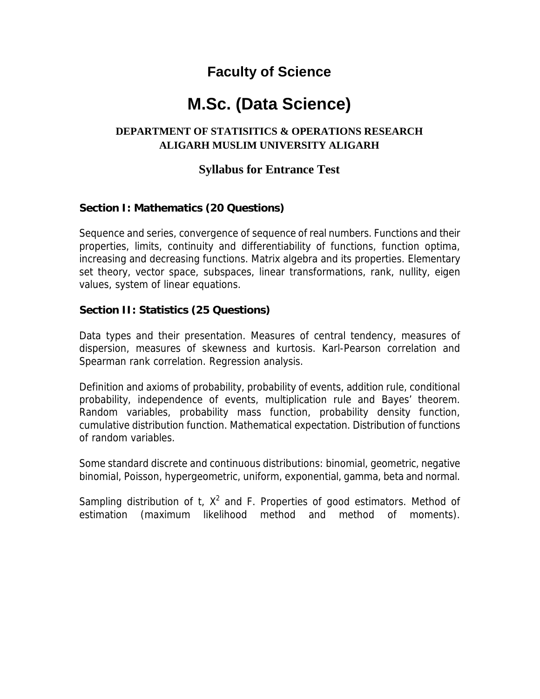# **Faculty of Science**

# **M.Sc. (Data Science)**

## **DEPARTMENT OF STATISITICS & OPERATIONS RESEARCH ALIGARH MUSLIM UNIVERSITY ALIGARH**

# **Syllabus for Entrance Test**

### **Section I: Mathematics (20 Questions)**

Sequence and series, convergence of sequence of real numbers. Functions and their properties, limits, continuity and differentiability of functions, function optima, increasing and decreasing functions. Matrix algebra and its properties. Elementary set theory, vector space, subspaces, linear transformations, rank, nullity, eigen values, system of linear equations.

#### **Section II: Statistics (25 Questions)**

Data types and their presentation. Measures of central tendency, measures of dispersion, measures of skewness and kurtosis. Karl-Pearson correlation and Spearman rank correlation. Regression analysis.

Definition and axioms of probability, probability of events, addition rule, conditional probability, independence of events, multiplication rule and Bayes' theorem. Random variables, probability mass function, probability density function, cumulative distribution function. Mathematical expectation. Distribution of functions of random variables.

Some standard discrete and continuous distributions: binomial, geometric, negative binomial, Poisson, hypergeometric, uniform, exponential, gamma, beta and normal.

Sampling distribution of  $t$ ,  $X^2$  and  $F$ . Properties of good estimators. Method of estimation (maximum likelihood method and method of moments).